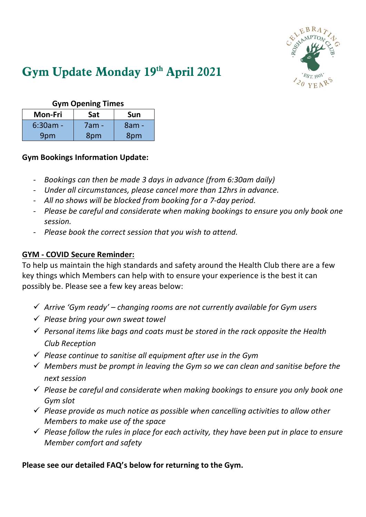

# **Gym Update Monday 19 th April 2021**

#### **Gym Opening Times**

| <b>Mon-Fri</b> | Sat   | Sun     |
|----------------|-------|---------|
| $6:30am -$     | 7am - | $8am -$ |
| 9pm            | 8pm   | 8pm     |

#### **Gym Bookings Information Update:**

- *Bookings can then be made 3 days in advance (from 6:30am daily)*
- *Under all circumstances, please cancel more than 12hrs in advance.*
- *All no shows will be blocked from booking for a 7-day period.*
- *Please be careful and considerate when making bookings to ensure you only book one session.*
- *Please book the correct session that you wish to attend.*

#### **GYM - COVID Secure Reminder:**

To help us maintain the high standards and safety around the Health Club there are a few key things which Members can help with to ensure your experience is the best it can possibly be. Please see a few key areas below:

- ✓ *Arrive 'Gym ready' – changing rooms are not currently available for Gym users*
- ✓ *Please bring your own sweat towel*
- ✓ *Personal items like bags and coats must be stored in the rack opposite the Health Club Reception*
- ✓ *Please continue to sanitise all equipment after use in the Gym*
- ✓ *Members must be prompt in leaving the Gym so we can clean and sanitise before the next session*
- ✓ *Please be careful and considerate when making bookings to ensure you only book one Gym slot*
- ✓ *Please provide as much notice as possible when cancelling activities to allow other Members to make use of the space*
- ✓ *Please follow the rules in place for each activity, they have been put in place to ensure Member comfort and safety*

#### **Please see our detailed FAQ's below for returning to the Gym.**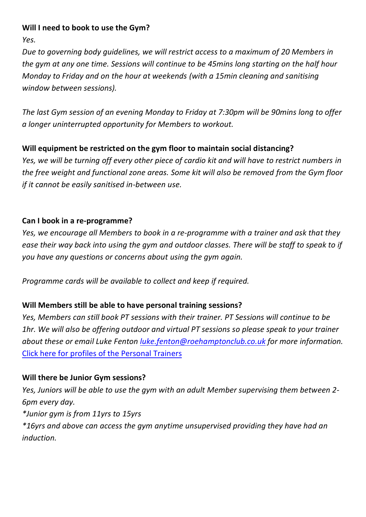#### **Will I need to book to use the Gym?**

*Yes.* 

*Due to governing body guidelines, we will restrict access to a maximum of 20 Members in the gym at any one time. Sessions will continue to be 45mins long starting on the half hour Monday to Friday and on the hour at weekends (with a 15min cleaning and sanitising window between sessions).* 

*The last Gym session of an evening Monday to Friday at 7:30pm will be 90mins long to offer a longer uninterrupted opportunity for Members to workout.*

# **Will equipment be restricted on the gym floor to maintain social distancing?**

*Yes, we will be turning off every other piece of cardio kit and will have to restrict numbers in the free weight and functional zone areas. Some kit will also be removed from the Gym floor if it cannot be easily sanitised in-between use.* 

## **Can I book in a re-programme?**

*Yes, we encourage all Members to book in a re-programme with a trainer and ask that they ease their way back into using the gym and outdoor classes. There will be staff to speak to if you have any questions or concerns about using the gym again.* 

*Programme cards will be available to collect and keep if required.* 

#### **Will Members still be able to have personal training sessions?**

*Yes, Members can still book PT sessions with their trainer. PT Sessions will continue to be 1hr. We will also be offering outdoor and virtual PT sessions so please speak to your trainer about these or email Luke Fenton [luke.fenton@roehamptonclub.co.uk](mailto:luke.fenton@roehamptonclub.co.uk) for more information.*  [Click here for profiles of the Personal Trainers](https://www.roehamptonclub.co.uk/articles/personal-training)

#### **Will there be Junior Gym sessions?**

*Yes, Juniors will be able to use the gym with an adult Member supervising them between 2- 6pm every day.* 

*\*Junior gym is from 11yrs to 15yrs*

*\*16yrs and above can access the gym anytime unsupervised providing they have had an induction.*